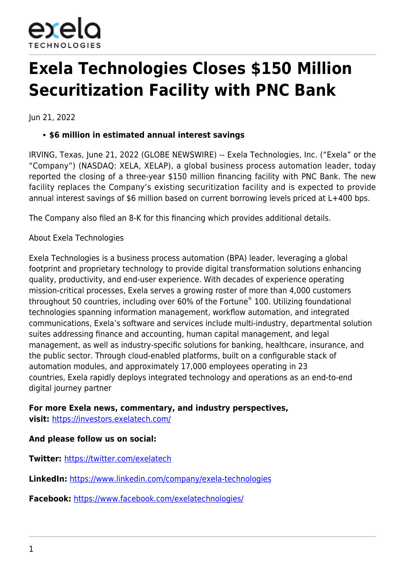

## **Exela Technologies Closes \$150 Million Securitization Facility with PNC Bank**

Jun 21, 2022

## **\$6 million in estimated annual interest savings**

IRVING, Texas, June 21, 2022 (GLOBE NEWSWIRE) -- Exela Technologies, Inc. ("Exela" or the "Company") (NASDAQ: XELA, XELAP), a global business process automation leader, today reported the closing of a three-year \$150 million financing facility with PNC Bank. The new facility replaces the Company's existing securitization facility and is expected to provide annual interest savings of \$6 million based on current borrowing levels priced at L+400 bps.

The Company also filed an 8-K for this financing which provides additional details.

About Exela Technologies

Exela Technologies is a business process automation (BPA) leader, leveraging a global footprint and proprietary technology to provide digital transformation solutions enhancing quality, productivity, and end-user experience. With decades of experience operating mission-critical processes, Exela serves a growing roster of more than 4,000 customers throughout 50 countries, including over 60% of the Fortune® 100. Utilizing foundational technologies spanning information management, workflow automation, and integrated communications, Exela's software and services include multi-industry, departmental solution suites addressing finance and accounting, human capital management, and legal management, as well as industry-specific solutions for banking, healthcare, insurance, and the public sector. Through cloud-enabled platforms, built on a configurable stack of automation modules, and approximately 17,000 employees operating in 23 countries, Exela rapidly deploys integrated technology and operations as an end-to-end digital journey partner

**For more Exela news, commentary, and industry perspectives, visit:** [https://investors.exelatech.com/](https://www.globenewswire.com/Tracker?data=LzZmZCcF1Oeps51JskNyam6Tkiy4nRTtNdB8RiCPx0fT1brk5LypgLvuRlBCw6NNFIM8Kekg1tTjhHCYPgInIxE5omTJEYENfsqF1Wkf27aWzlh8YO7MBrvxZGbOIlqX)

**And please follow us on social:**

**Twitter:** [https://twitter.com/exelatech](https://www.globenewswire.com/Tracker?data=LzZmZCcF1Oeps51JskNyag-um2qA65ga6_zdieXA0iJeloAtqCvd8fiwbowGSLiaI35kJ7XZpgMk2wvi724D4xg0q1M4bFGowZ3bVsXbgUg=)

**LinkedIn:** [https://www.linkedin.com/company/exela-technologies](https://www.globenewswire.com/Tracker?data=LzZmZCcF1Oeps51JskNyaiXcVNP6R3bD9adPB7NJgjxda1R9Txl4pJMEp0VHs6ofI_iwMiUh58-rJ_ey5gEtyfXyrYC6Fvy43i3nDccF02FSc-26TuffhwZHf9nqaf5X6NIkPCfoyEQYfaAdsGcO-YKuEk9y04ekaHQaZmmy5as=)

**Facebook:** [https://www.facebook.com/exelatechnologies/](https://www.globenewswire.com/Tracker?data=LzZmZCcF1Oeps51JskNyaneQtR23MZDYxWnKQk9UD_pxOhiG_sCDA-LDYkZoOTWOgcHgwWMT0_eVbAw0hcKb0lmK2xrB-SNFnnBTxnyImxnGRNt1j7zjnzIpEceL9A-y_yHaQm5RS3TjQkuPSdfALQ==)